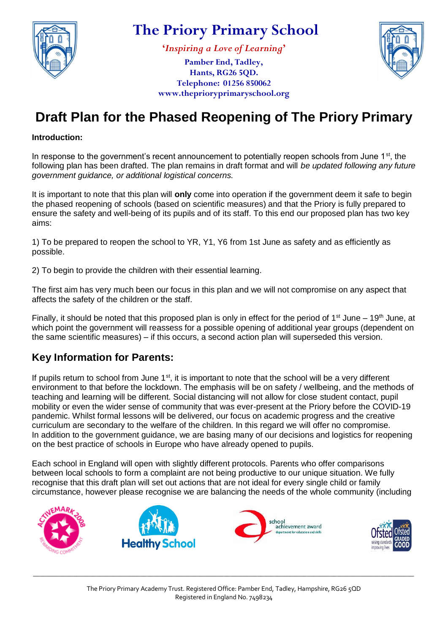

**'***Inspiring a Love of Learning***'**

**Pamber End, Tadley, Hants, RG26 5QD. Telephone: 01256 850062 www.theprioryprimaryschool.org**



# **Draft Plan for the Phased Reopening of The Priory Primary**

#### **Introduction:**

In response to the government's recent announcement to potentially reopen schools from June 1<sup>st</sup>, the following plan has been drafted. The plan remains in draft format and will *be updated following any future government guidance, or additional logistical concerns.*

It is important to note that this plan will **only** come into operation if the government deem it safe to begin the phased reopening of schools (based on scientific measures) and that the Priory is fully prepared to ensure the safety and well-being of its pupils and of its staff. To this end our proposed plan has two key aims:

1) To be prepared to reopen the school to YR, Y1, Y6 from 1st June as safety and as efficiently as possible.

2) To begin to provide the children with their essential learning.

The first aim has very much been our focus in this plan and we will not compromise on any aspect that affects the safety of the children or the staff.

Finally, it should be noted that this proposed plan is only in effect for the period of  $1<sup>st</sup>$  June –  $19<sup>th</sup>$  June, at which point the government will reassess for a possible opening of additional year groups (dependent on the same scientific measures) – if this occurs, a second action plan will superseded this version.

#### **Key Information for Parents:**

If pupils return to school from June 1<sup>st</sup>, it is important to note that the school will be a very different environment to that before the lockdown. The emphasis will be on safety / wellbeing, and the methods of teaching and learning will be different. Social distancing will not allow for close student contact, pupil mobility or even the wider sense of community that was ever-present at the Priory before the COVID-19 pandemic. Whilst formal lessons will be delivered, our focus on academic progress and the creative curriculum are secondary to the welfare of the children. In this regard we will offer no compromise. In addition to the government guidance, we are basing many of our decisions and logistics for reopening on the best practice of schools in Europe who have already opened to pupils.

Each school in England will open with slightly different protocols. Parents who offer comparisons between local schools to form a complaint are not being productive to our unique situation. We fully recognise that this draft plan will set out actions that are not ideal for every single child or family circumstance, however please recognise we are balancing the needs of the whole community (including

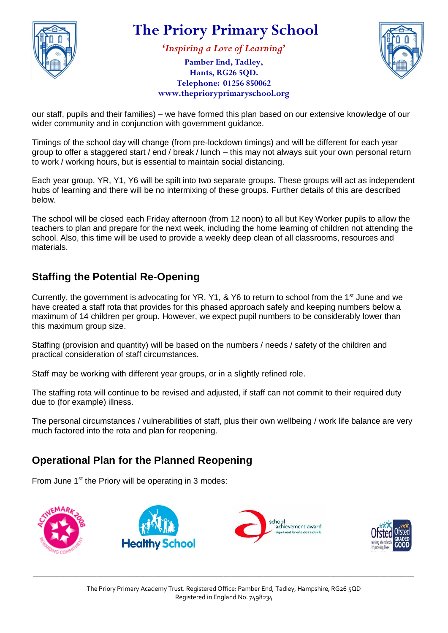

**'***Inspiring a Love of Learning***'**

**Pamber End, Tadley, Hants, RG26 5QD. Telephone: 01256 850062 www.theprioryprimaryschool.org**



our staff, pupils and their families) – we have formed this plan based on our extensive knowledge of our wider community and in conjunction with government guidance.

Timings of the school day will change (from pre-lockdown timings) and will be different for each year group to offer a staggered start / end / break / lunch – this may not always suit your own personal return to work / working hours, but is essential to maintain social distancing.

Each year group, YR, Y1, Y6 will be spilt into two separate groups. These groups will act as independent hubs of learning and there will be no intermixing of these groups. Further details of this are described below.

The school will be closed each Friday afternoon (from 12 noon) to all but Key Worker pupils to allow the teachers to plan and prepare for the next week, including the home learning of children not attending the school. Also, this time will be used to provide a weekly deep clean of all classrooms, resources and materials.

#### **Staffing the Potential Re-Opening**

Currently, the government is advocating for YR, Y1, & Y6 to return to school from the 1<sup>st</sup> June and we have created a staff rota that provides for this phased approach safely and keeping numbers below a maximum of 14 children per group. However, we expect pupil numbers to be considerably lower than this maximum group size.

Staffing (provision and quantity) will be based on the numbers / needs / safety of the children and practical consideration of staff circumstances.

Staff may be working with different year groups, or in a slightly refined role.

The staffing rota will continue to be revised and adjusted, if staff can not commit to their required duty due to (for example) illness.

The personal circumstances / vulnerabilities of staff, plus their own wellbeing / work life balance are very much factored into the rota and plan for reopening.

#### **Operational Plan for the Planned Reopening**

From June 1<sup>st</sup> the Priory will be operating in 3 modes:



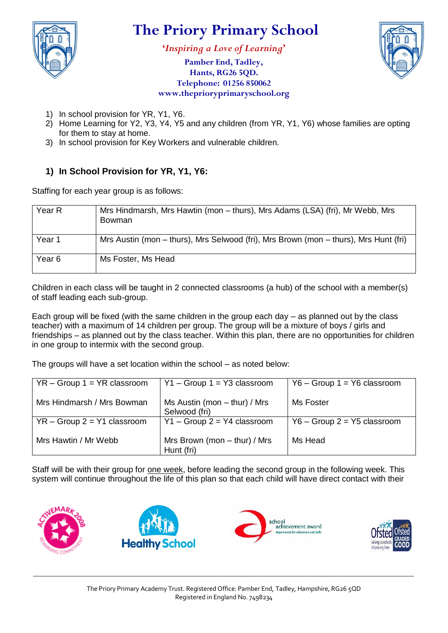

**'***Inspiring a Love of Learning***'**

**Pamber End, Tadley, Hants, RG26 5QD. Telephone: 01256 850062 www.theprioryprimaryschool.org**



- 1) In school provision for YR, Y1, Y6.
- 2) Home Learning for Y2, Y3, Y4, Y5 and any children (from YR, Y1, Y6) whose families are opting for them to stay at home.
- 3) In school provision for Key Workers and vulnerable children.

#### **1) In School Provision for YR, Y1, Y6:**

Staffing for each year group is as follows:

| Year R            | Mrs Hindmarsh, Mrs Hawtin (mon - thurs), Mrs Adams (LSA) (fri), Mr Webb, Mrs<br>Bowman |
|-------------------|----------------------------------------------------------------------------------------|
| Year 1            | Mrs Austin (mon – thurs), Mrs Selwood (fri), Mrs Brown (mon – thurs), Mrs Hunt (fri)   |
| Year <sub>6</sub> | Ms Foster, Ms Head                                                                     |

Children in each class will be taught in 2 connected classrooms (a hub) of the school with a member(s) of staff leading each sub-group.

Each group will be fixed (with the same children in the group each day – as planned out by the class teacher) with a maximum of 14 children per group. The group will be a mixture of boys / girls and friendships – as planned out by the class teacher. Within this plan, there are no opportunities for children in one group to intermix with the second group.

The groups will have a set location within the school – as noted below:

| $YR - Group 1 = YR classroom$ | $Y1 - Group 1 = Y3 classroom$                   | $Y6 - Group 1 = Y6 classroom$ |
|-------------------------------|-------------------------------------------------|-------------------------------|
| Mrs Hindmarsh / Mrs Bowman    | Ms Austin (mon $-$ thur) / Mrs<br>Selwood (fri) | Ms Foster                     |
| $YR - Group 2 = Y1 classroom$ | $Y1 - Group 2 = Y4 classroom$                   | $Y6 - Group 2 = Y5 classroom$ |
| Mrs Hawtin / Mr Webb          | Mrs Brown (mon $-$ thur) / Mrs<br>Hunt (fri)    | Ms Head                       |

Staff will be with their group for one week, before leading the second group in the following week. This system will continue throughout the life of this plan so that each child will have direct contact with their

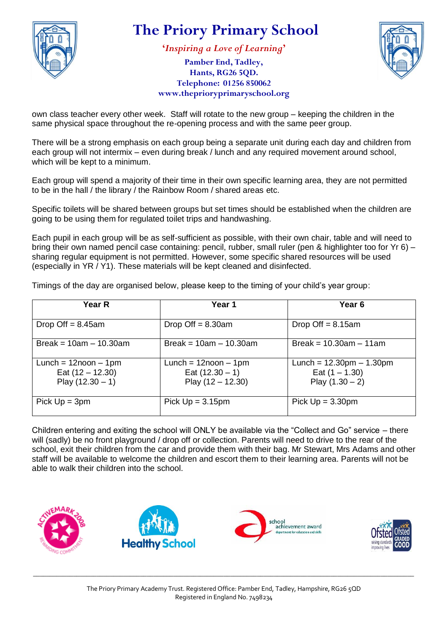

**'***Inspiring a Love of Learning***'**

**Pamber End, Tadley, Hants, RG26 5QD. Telephone: 01256 850062 www.theprioryprimaryschool.org**



own class teacher every other week. Staff will rotate to the new group – keeping the children in the same physical space throughout the re-opening process and with the same peer group.

There will be a strong emphasis on each group being a separate unit during each day and children from each group will not intermix – even during break / lunch and any required movement around school, which will be kept to a minimum.

Each group will spend a majority of their time in their own specific learning area, they are not permitted to be in the hall / the library / the Rainbow Room / shared areas etc.

Specific toilets will be shared between groups but set times should be established when the children are going to be using them for regulated toilet trips and handwashing.

Each pupil in each group will be as self-sufficient as possible, with their own chair, table and will need to bring their own named pencil case containing: pencil, rubber, small ruler (pen & highlighter too for Yr 6) – sharing regular equipment is not permitted. However, some specific shared resources will be used (especially in YR / Y1). These materials will be kept cleaned and disinfected.

Timings of the day are organised below, please keep to the timing of your child's year group:

| Year R                                                                | Year 1                                                                | Year 6                                                                              |
|-----------------------------------------------------------------------|-----------------------------------------------------------------------|-------------------------------------------------------------------------------------|
| Drop Off $= 8.45$ am                                                  | Drop Off $= 8.30$ am                                                  | Drop Off $= 8.15$ am                                                                |
| Break = $10am - 10.30am$                                              | Break = $10am - 10.30am$                                              | Break = $10.30$ am $-11$ am                                                         |
| Lunch = $12$ noon $-1$ pm<br>Eat $(12 - 12.30)$<br>Play $(12.30 - 1)$ | Lunch = $12$ noon $-1$ pm<br>Eat $(12.30 - 1)$<br>Play $(12 - 12.30)$ | Lunch = $12.30 \text{pm} - 1.30 \text{pm}$<br>Eat $(1 - 1.30)$<br>Play $(1.30 - 2)$ |
| Pick $Up = 3pm$                                                       | Pick $Up = 3.15pm$                                                    | Pick $Up = 3.30 \text{pm}$                                                          |

Children entering and exiting the school will ONLY be available via the "Collect and Go" service – there will (sadly) be no front playground / drop off or collection. Parents will need to drive to the rear of the school, exit their children from the car and provide them with their bag. Mr Stewart, Mrs Adams and other staff will be available to welcome the children and escort them to their learning area. Parents will not be able to walk their children into the school.



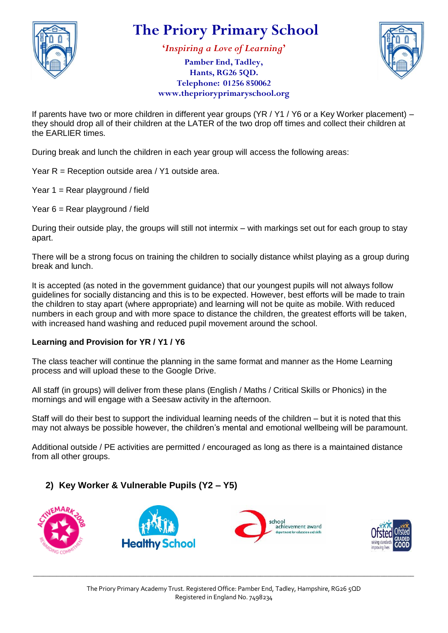

**'***Inspiring a Love of Learning***'**



**Pamber End, Tadley, Hants, RG26 5QD. Telephone: 01256 850062 www.theprioryprimaryschool.org**

If parents have two or more children in different year groups (YR / Y1 / Y6 or a Key Worker placement) – they should drop all of their children at the LATER of the two drop off times and collect their children at the EARLIER times.

During break and lunch the children in each year group will access the following areas:

Year R = Reception outside area / Y1 outside area.

Year  $1 =$  Rear playground / field

Year 6 = Rear playground / field

During their outside play, the groups will still not intermix – with markings set out for each group to stay apart.

There will be a strong focus on training the children to socially distance whilst playing as a group during break and lunch.

It is accepted (as noted in the government guidance) that our youngest pupils will not always follow guidelines for socially distancing and this is to be expected. However, best efforts will be made to train the children to stay apart (where appropriate) and learning will not be quite as mobile. With reduced numbers in each group and with more space to distance the children, the greatest efforts will be taken, with increased hand washing and reduced pupil movement around the school.

#### **Learning and Provision for YR / Y1 / Y6**

The class teacher will continue the planning in the same format and manner as the Home Learning process and will upload these to the Google Drive.

All staff (in groups) will deliver from these plans (English / Maths / Critical Skills or Phonics) in the mornings and will engage with a Seesaw activity in the afternoon.

Staff will do their best to support the individual learning needs of the children – but it is noted that this may not always be possible however, the children's mental and emotional wellbeing will be paramount.

Additional outside / PE activities are permitted / encouraged as long as there is a maintained distance from all other groups.

#### **2) Key Worker & Vulnerable Pupils (Y2 – Y5)**

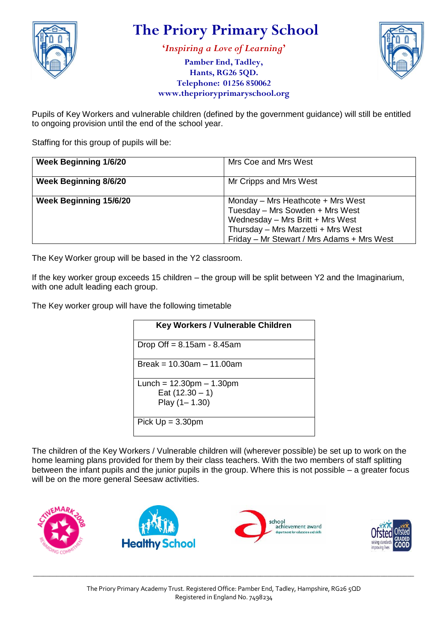

**'***Inspiring a Love of Learning***'**

**Pamber End, Tadley, Hants, RG26 5QD. Telephone: 01256 850062 www.theprioryprimaryschool.org**



Pupils of Key Workers and vulnerable children (defined by the government guidance) will still be entitled to ongoing provision until the end of the school year.

Staffing for this group of pupils will be:

| <b>Week Beginning 1/6/20</b> | Mrs Coe and Mrs West                                                                                                                                                                         |
|------------------------------|----------------------------------------------------------------------------------------------------------------------------------------------------------------------------------------------|
| <b>Week Beginning 8/6/20</b> | Mr Cripps and Mrs West                                                                                                                                                                       |
| Week Beginning 15/6/20       | Monday - Mrs Heathcote + Mrs West<br>Tuesday - Mrs Sowden + Mrs West<br>Wednesday - Mrs Britt + Mrs West<br>Thursday - Mrs Marzetti + Mrs West<br>Friday - Mr Stewart / Mrs Adams + Mrs West |

The Key Worker group will be based in the Y2 classroom.

If the key worker group exceeds 15 children – the group will be split between Y2 and the Imaginarium, with one adult leading each group.

The Key worker group will have the following timetable

| <b>Key Workers / Vulnerable Children</b> |
|------------------------------------------|
| Drop Off $= 8.15$ am - 8.45am            |
| Break = $10.30$ am $- 11.00$ am          |
| Lunch = $12.30$ pm $- 1.30$ pm           |
| Eat $(12.30 - 1)$                        |
| Play $(1 - 1.30)$                        |
| Pick $Up = 3.30pm$                       |

The children of the Key Workers / Vulnerable children will (wherever possible) be set up to work on the home learning plans provided for them by their class teachers. With the two members of staff splitting between the infant pupils and the junior pupils in the group. Where this is not possible – a greater focus will be on the more general Seesaw activities.



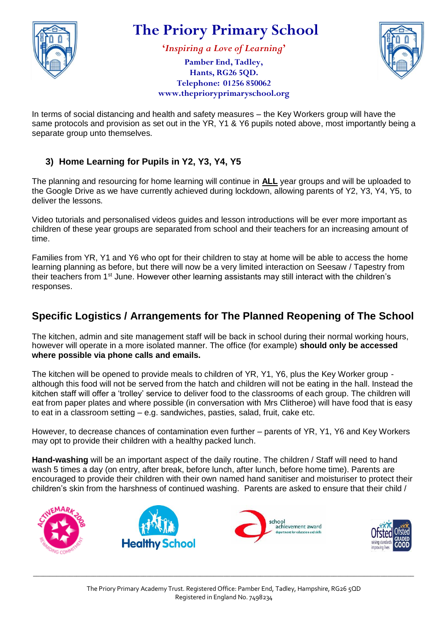

**'***Inspiring a Love of Learning***'**

**Pamber End, Tadley, Hants, RG26 5QD. Telephone: 01256 850062 www.theprioryprimaryschool.org**



In terms of social distancing and health and safety measures – the Key Workers group will have the same protocols and provision as set out in the YR, Y1 & Y6 pupils noted above, most importantly being a separate group unto themselves.

#### **3) Home Learning for Pupils in Y2, Y3, Y4, Y5**

The planning and resourcing for home learning will continue in **ALL** year groups and will be uploaded to the Google Drive as we have currently achieved during lockdown, allowing parents of Y2, Y3, Y4, Y5, to deliver the lessons.

Video tutorials and personalised videos guides and lesson introductions will be ever more important as children of these year groups are separated from school and their teachers for an increasing amount of time.

Families from YR, Y1 and Y6 who opt for their children to stay at home will be able to access the home learning planning as before, but there will now be a very limited interaction on Seesaw / Tapestry from their teachers from 1<sup>st</sup> June. However other learning assistants may still interact with the children's responses.

#### **Specific Logistics / Arrangements for The Planned Reopening of The School**

The kitchen, admin and site management staff will be back in school during their normal working hours, however will operate in a more isolated manner. The office (for example) **should only be accessed where possible via phone calls and emails.**

The kitchen will be opened to provide meals to children of YR, Y1, Y6, plus the Key Worker group although this food will not be served from the hatch and children will not be eating in the hall. Instead the kitchen staff will offer a 'trolley' service to deliver food to the classrooms of each group. The children will eat from paper plates and where possible (in conversation with Mrs Clitheroe) will have food that is easy to eat in a classroom setting – e.g. sandwiches, pasties, salad, fruit, cake etc.

However, to decrease chances of contamination even further – parents of YR, Y1, Y6 and Key Workers may opt to provide their children with a healthy packed lunch.

**Hand-washing** will be an important aspect of the daily routine. The children / Staff will need to hand wash 5 times a day (on entry, after break, before lunch, after lunch, before home time). Parents are encouraged to provide their children with their own named hand sanitiser and moisturiser to protect their children's skin from the harshness of continued washing. Parents are asked to ensure that their child /

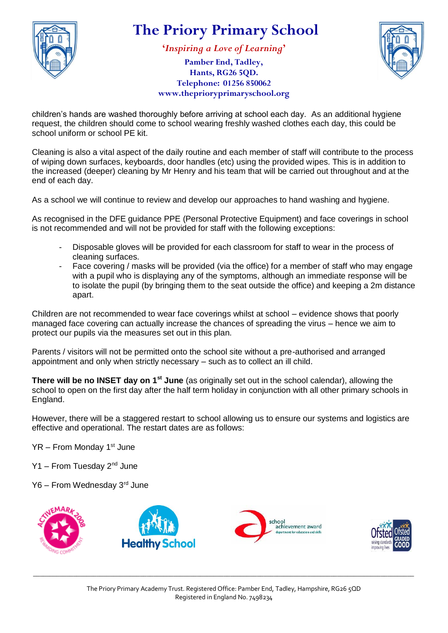

**'***Inspiring a Love of Learning***'**

**Pamber End, Tadley, Hants, RG26 5QD. Telephone: 01256 850062 www.theprioryprimaryschool.org**



children's hands are washed thoroughly before arriving at school each day. As an additional hygiene request, the children should come to school wearing freshly washed clothes each day, this could be school uniform or school PE kit.

Cleaning is also a vital aspect of the daily routine and each member of staff will contribute to the process of wiping down surfaces, keyboards, door handles (etc) using the provided wipes. This is in addition to the increased (deeper) cleaning by Mr Henry and his team that will be carried out throughout and at the end of each day.

As a school we will continue to review and develop our approaches to hand washing and hygiene.

As recognised in the DFE guidance PPE (Personal Protective Equipment) and face coverings in school is not recommended and will not be provided for staff with the following exceptions:

- Disposable gloves will be provided for each classroom for staff to wear in the process of cleaning surfaces.
- Face covering / masks will be provided (via the office) for a member of staff who may engage with a pupil who is displaying any of the symptoms, although an immediate response will be to isolate the pupil (by bringing them to the seat outside the office) and keeping a 2m distance apart.

Children are not recommended to wear face coverings whilst at school – evidence shows that poorly managed face covering can actually increase the chances of spreading the virus – hence we aim to protect our pupils via the measures set out in this plan.

Parents / visitors will not be permitted onto the school site without a pre-authorised and arranged appointment and only when strictly necessary – such as to collect an ill child.

**There will be no INSET day on 1st June** (as originally set out in the school calendar), allowing the school to open on the first day after the half term holiday in conjunction with all other primary schools in England.

However, there will be a staggered restart to school allowing us to ensure our systems and logistics are effective and operational. The restart dates are as follows:

- $YR$  From Monday 1st June
- Y1 From Tuesday 2<sup>nd</sup> June
- Y6 From Wednesday 3rd June